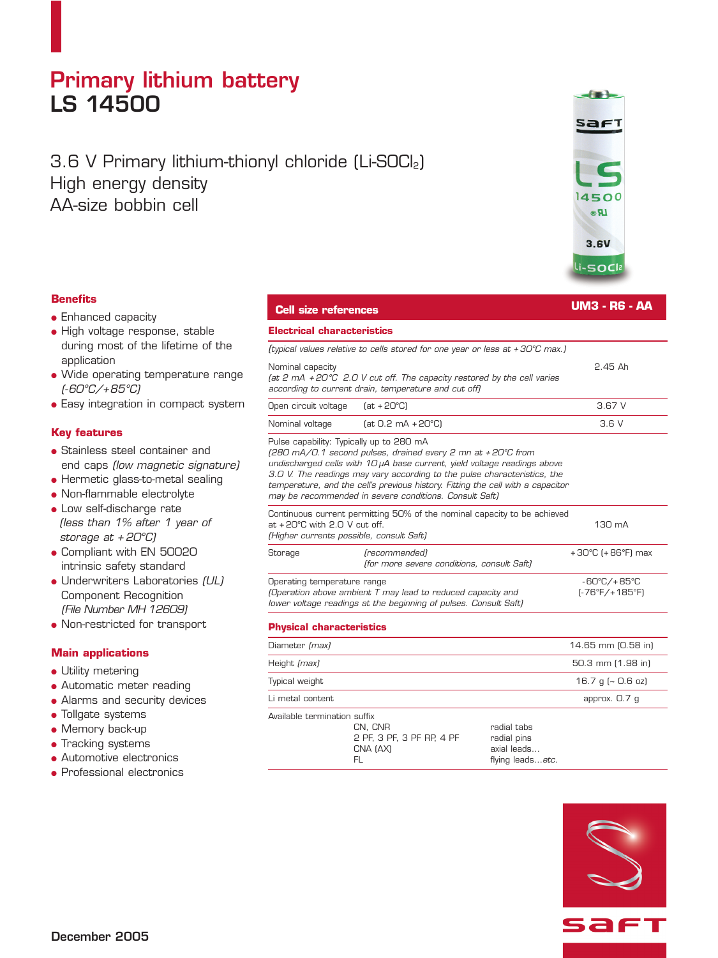## **Primary lithium battery LS 14500**

### 3.6 V Primary lithium-thionyl chloride (Li-SOCl2) High energy density AA-size bobbin cell



- Enhanced capacity
- High voltage response, stable during most of the lifetime of the application
- Wide operating temperature range *(-60°C/+85°C)*
- Easy integration in compact system

#### **Key features**

- Stainless steel container and end caps *(low magnetic signature)*
- Hermetic glass-to-metal sealing
- Non-flammable electrolyte
- Low self-discharge rate *(less than 1% after 1 year of storage at + 20°C)*
- Compliant with EN 50020 intrinsic safety standard
- Underwriters Laboratories *(UL)* Component Recognition *(File Number MH 12609)*
- Non-restricted for transport

#### **Main applications**

- Utility metering
- Automatic meter reading
- Alarms and security devices
- Tollgate systems
- Memory back-up
- Tracking systems
- Automotive electronics
- Professional electronics

### **Cell size references UM3 - R6 - AA**

| Electrical characteristics                                                                                                                                     |                                                                                                                                                                                                                                                                                                                                                                  |                                        |
|----------------------------------------------------------------------------------------------------------------------------------------------------------------|------------------------------------------------------------------------------------------------------------------------------------------------------------------------------------------------------------------------------------------------------------------------------------------------------------------------------------------------------------------|----------------------------------------|
|                                                                                                                                                                | (typical values relative to cells stored for one year or less at +30°C max.)                                                                                                                                                                                                                                                                                     |                                        |
| Nominal capacity                                                                                                                                               | (at 2 mA +20°C 2.0 V cut off. The capacity restored by the cell varies<br>according to current drain, temperature and cut off)                                                                                                                                                                                                                                   | $2.45$ Ah                              |
| Open circuit voltage                                                                                                                                           | $(at + 20^{\circ}C)$                                                                                                                                                                                                                                                                                                                                             | 3.67V                                  |
| Nominal voltage                                                                                                                                                | $[at 0.2 mA + 20°C]$                                                                                                                                                                                                                                                                                                                                             | 3.6V                                   |
| Pulse capability: Typically up to 280 mA                                                                                                                       | (280 mA/0.1 second pulses, drained every 2 mn at +20°C from<br>undischarged cells with 10 µA base current, yield voltage readings above<br>3.0 V. The readings may vary according to the pulse characteristics, the<br>temperature, and the cell's previous history. Fitting the cell with a capacitor<br>may be recommended in severe conditions. Consult Saft) |                                        |
| Continuous current permitting 50% of the nominal capacity to be achieved<br>at +20°C with 2.0 V cut off.<br>(Higher currents possible, consult Saft)           |                                                                                                                                                                                                                                                                                                                                                                  | 130 mA                                 |
| Storage                                                                                                                                                        | (recommended)<br>(for more severe conditions, consult Saft)                                                                                                                                                                                                                                                                                                      | $+30^{\circ}$ C (+86 $^{\circ}$ F) max |
| Operating temperature range<br>(Operation above ambient T may lead to reduced capacity and<br>lower voltage readings at the beginning of pulses. Consult Saft) |                                                                                                                                                                                                                                                                                                                                                                  | -60°C/+85°C<br>(-76°F/+185°F)          |
| あげんしょうきょう しょうしょうしょう あいしょうしゅきょう                                                                                                                                 |                                                                                                                                                                                                                                                                                                                                                                  |                                        |

| <b>Physical characteristics</b>                                                        |                                                               |
|----------------------------------------------------------------------------------------|---------------------------------------------------------------|
| Diameter (max)                                                                         | 14.65 mm (0.58 in)                                            |
| Height (max)                                                                           | 50.3 mm (1.98 in)                                             |
| Typical weight                                                                         | 16.7 g ( $\sim$ 0.6 oz)                                       |
| Li metal content                                                                       | approx. 0.7 g                                                 |
| Available termination suffix<br>CN, CNR<br>2 PF, 3 PF, 3 PF RP, 4 PF<br>CNA (AX)<br>FL | radial tabs<br>radial pins<br>axial leads<br>flying leadsetc. |